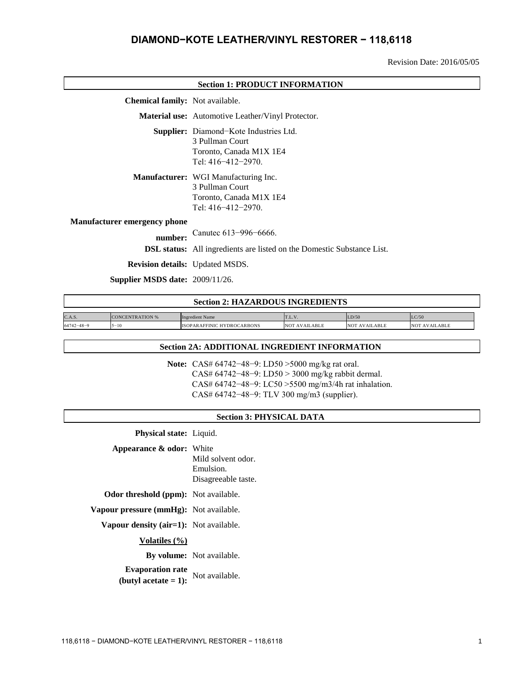# **DIAMOND−KOTE LEATHER/VINYL RESTORER − 118,6118**

Revision Date: 2016/05/05

| <b>Section 1: PRODUCT INFORMATION</b>  |                                                                                                                          |  |
|----------------------------------------|--------------------------------------------------------------------------------------------------------------------------|--|
| <b>Chemical family:</b> Not available. |                                                                                                                          |  |
|                                        | Material use: Automotive Leather/Vinyl Protector.                                                                        |  |
|                                        | <b>Supplier:</b> Diamond-Kote Industries Ltd.<br>3 Pullman Court<br>Toronto, Canada M1X 1E4<br>Tel: $416 - 412 - 2970$ . |  |
|                                        | Manufacturer: WGI Manufacturing Inc.<br>3 Pullman Court<br>Toronto, Canada M1X 1E4<br>Tel: $416 - 412 - 2970$ .          |  |
| <b>Manufacturer emergency phone</b>    |                                                                                                                          |  |
| number:                                | Canutec 613-996-6666.                                                                                                    |  |
|                                        | <b>DSL status:</b> All ingredients are listed on the Domestic Substance List.                                            |  |
| <b>Revision details:</b> Updated MSDS. |                                                                                                                          |  |
| Supplier MSDS date: 2009/11/26.        |                                                                                                                          |  |
|                                        | Cootion 2. IIA 7A DDAHE INCDEDIENTE                                                                                      |  |

| Secuoli 2: HAZARDOUS INGREDIENTS |                        |                                   |                      |                      |                      |  |
|----------------------------------|------------------------|-----------------------------------|----------------------|----------------------|----------------------|--|
|                                  |                        |                                   |                      |                      |                      |  |
| C.A.S.                           | <b>CONCENTRATION %</b> | <b>Ingredient Name</b>            | T.L. V               | LD/50                | LC/50                |  |
| $64742 - 48 - 9$                 | $5 - 10$               | <b>ISOPARAFFINIC HYDROCARBONS</b> | <b>NOT AVAILABLE</b> | <b>NOT AVAILABLE</b> | <b>NOT AVAILABLE</b> |  |

#### **Section 2A: ADDITIONAL INGREDIENT INFORMATION**

**Note:** CAS# 64742−48−9: LD50 >5000 mg/kg rat oral. CAS# 64742−48−9: LD50 > 3000 mg/kg rabbit dermal. CAS# 64742−48−9: LC50 >5500 mg/m3/4h rat inhalation. CAS# 64742−48−9: TLV 300 mg/m3 (supplier).

### **Section 3: PHYSICAL DATA**

**Physical state:** Liquid.

**Appearance & odor:** White

Mild solvent odor. Emulsion. Disagreeable taste.

**Odor threshold (ppm):** Not available.

**Vapour pressure (mmHg):** Not available.

**Vapour density (air=1):** Not available.

**Volatiles (%)**

**By volume:** Not available.

**Evaporation rate**<br> **(butyl acetate = 1):** Not available.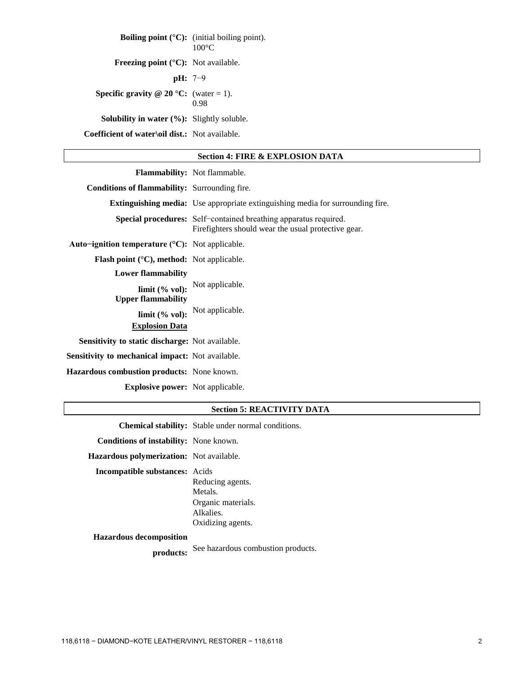**Boiling point (°C):** (initial boiling point). 100°C **Freezing point (°C):** Not available. **pH:** 7−9 **Specific gravity @ 20 °C:** (water = 1). 0.98 **Solubility in water (%):** Slightly soluble. **Coefficient of water\oil dist.:** Not available.

## **Section 4: FIRE & EXPLOSION DATA**

|                                                                    | <b>Flammability:</b> Not flammable.                                                                                            |
|--------------------------------------------------------------------|--------------------------------------------------------------------------------------------------------------------------------|
| <b>Conditions of flammability:</b> Surrounding fire.               |                                                                                                                                |
|                                                                    | <b>Extinguishing media:</b> Use appropriate extinguishing media for surrounding fire.                                          |
|                                                                    | <b>Special procedures:</b> Self-contained breathing apparatus required.<br>Firefighters should wear the usual protective gear. |
| Auto-ignition temperature $({}^{\circ}C)$ : Not applicable.        |                                                                                                                                |
| <b>Flash point</b> ( $^{\circ}$ C), <b>method:</b> Not applicable. |                                                                                                                                |
| <b>Lower flammability</b>                                          |                                                                                                                                |
| <b>Upper flammability</b>                                          | limit (% vol): Not applicable.                                                                                                 |
| <b>Explosion Data</b>                                              | limit $(\%$ vol): Not applicable.                                                                                              |
| Sensitivity to static discharge: Not available.                    |                                                                                                                                |
| Sensitivity to mechanical impact: Not available.                   |                                                                                                                                |
| <b>Hazardous combustion products:</b> None known.                  |                                                                                                                                |
| <b>Explosive power:</b> Not applicable.                            |                                                                                                                                |

#### **Section 5: REACTIVITY DATA**

**Chemical stability:** Stable under normal conditions. **Conditions of instability:** None known. **Hazardous polymerization:** Not available. **Incompatible substances:** Acids Reducing agents. Metals. Organic materials. Alkalies. Oxidizing agents. **Hazardous decomposition products:** See hazardous combustion products.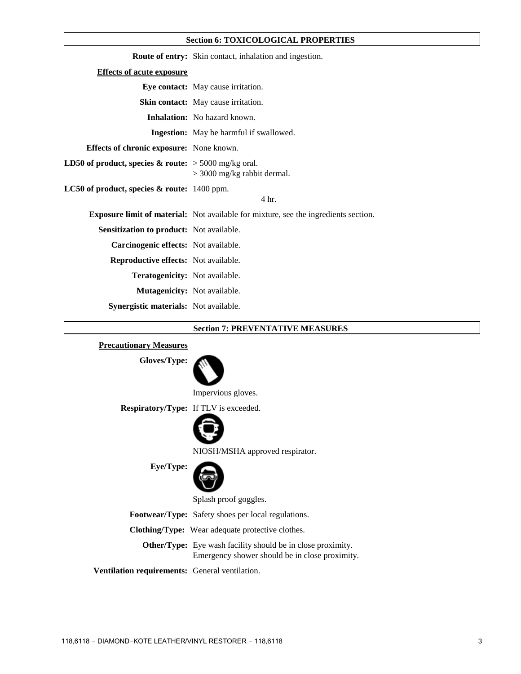### **Section 6: TOXICOLOGICAL PROPERTIES**

|                                                                   | <b>Route of entry:</b> Skin contact, inhalation and ingestion.                             |
|-------------------------------------------------------------------|--------------------------------------------------------------------------------------------|
| <b>Effects of acute exposure</b>                                  |                                                                                            |
|                                                                   | Eye contact: May cause irritation.                                                         |
|                                                                   | <b>Skin contact:</b> May cause irritation.                                                 |
|                                                                   | <b>Inhalation:</b> No hazard known.                                                        |
|                                                                   | <b>Ingestion:</b> May be harmful if swallowed.                                             |
| Effects of chronic exposure: None known.                          |                                                                                            |
| <b>LD50 of product, species &amp; route:</b> $>$ 5000 mg/kg oral. | $>$ 3000 mg/kg rabbit dermal.                                                              |
| LC50 of product, species & route: 1400 ppm.                       | 4 hr.                                                                                      |
|                                                                   | <b>Exposure limit of material:</b> Not available for mixture, see the ingredients section. |
| <b>Sensitization to product:</b> Not available.                   |                                                                                            |
| Carcinogenic effects: Not available.                              |                                                                                            |
| <b>Reproductive effects:</b> Not available.                       |                                                                                            |
| <b>Teratogenicity:</b> Not available.                             |                                                                                            |
| Mutagenicity: Not available.                                      |                                                                                            |
| <b>Synergistic materials:</b> Not available.                      |                                                                                            |

### **Section 7: PREVENTATIVE MEASURES**

## **Precautionary Measures**

**Gloves/Type:**



Impervious gloves.

**Respiratory/Type:** If TLV is exceeded.



NIOSH/MSHA approved respirator.

**Eye/Type:**



Splash proof goggles.

**Footwear/Type:** Safety shoes per local regulations.

**Clothing/Type:** Wear adequate protective clothes.

**Other/Type:** Eye wash facility should be in close proximity. Emergency shower should be in close proximity.

**Ventilation requirements:** General ventilation.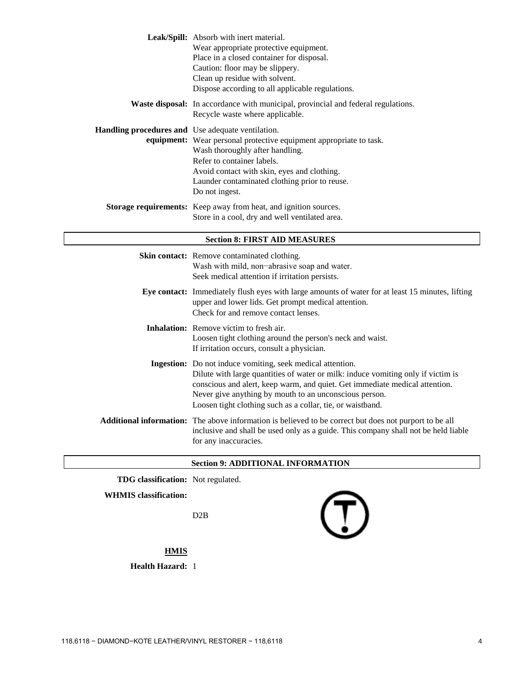|                                                   | Leak/Spill: Absorb with inert material.<br>Wear appropriate protective equipment.<br>Place in a closed container for disposal.<br>Caution: floor may be slippery.<br>Clean up residue with solvent.<br>Dispose according to all applicable regulations.                                                                                               |
|---------------------------------------------------|-------------------------------------------------------------------------------------------------------------------------------------------------------------------------------------------------------------------------------------------------------------------------------------------------------------------------------------------------------|
|                                                   | Waste disposal: In accordance with municipal, provincial and federal regulations.<br>Recycle waste where applicable.                                                                                                                                                                                                                                  |
| Handling procedures and Use adequate ventilation. | equipment: Wear personal protective equipment appropriate to task.<br>Wash thoroughly after handling.<br>Refer to container labels.<br>Avoid contact with skin, eyes and clothing.<br>Launder contaminated clothing prior to reuse.<br>Do not ingest.                                                                                                 |
|                                                   | Storage requirements: Keep away from heat, and ignition sources.<br>Store in a cool, dry and well ventilated area.                                                                                                                                                                                                                                    |
|                                                   | <b>Section 8: FIRST AID MEASURES</b>                                                                                                                                                                                                                                                                                                                  |
|                                                   | Skin contact: Remove contaminated clothing.<br>Wash with mild, non-abrasive soap and water.<br>Seek medical attention if irritation persists.                                                                                                                                                                                                         |
|                                                   | Eye contact: Immediately flush eyes with large amounts of water for at least 15 minutes, lifting<br>upper and lower lids. Get prompt medical attention.<br>Check for and remove contact lenses.                                                                                                                                                       |
|                                                   | Inhalation: Remove victim to fresh air.<br>Loosen tight clothing around the person's neck and waist.<br>If irritation occurs, consult a physician.                                                                                                                                                                                                    |
|                                                   | Ingestion: Do not induce vomiting, seek medical attention.<br>Dilute with large quantities of water or milk: induce vomiting only if victim is<br>conscious and alert, keep warm, and quiet. Get immediate medical attention.<br>Never give anything by mouth to an unconscious person.<br>Loosen tight clothing such as a collar, tie, or waistband. |
|                                                   | Additional information: The above information is believed to be correct but does not purport to be all                                                                                                                                                                                                                                                |

## **Section 9: ADDITIONAL INFORMATION**

**TDG classification:** Not regulated.

### **WHMIS classification:**

D2B

for any inaccuracies.

inclusive and shall be used only as a guide. This company shall not be held liable

**HMIS**

**Health Hazard:** 1